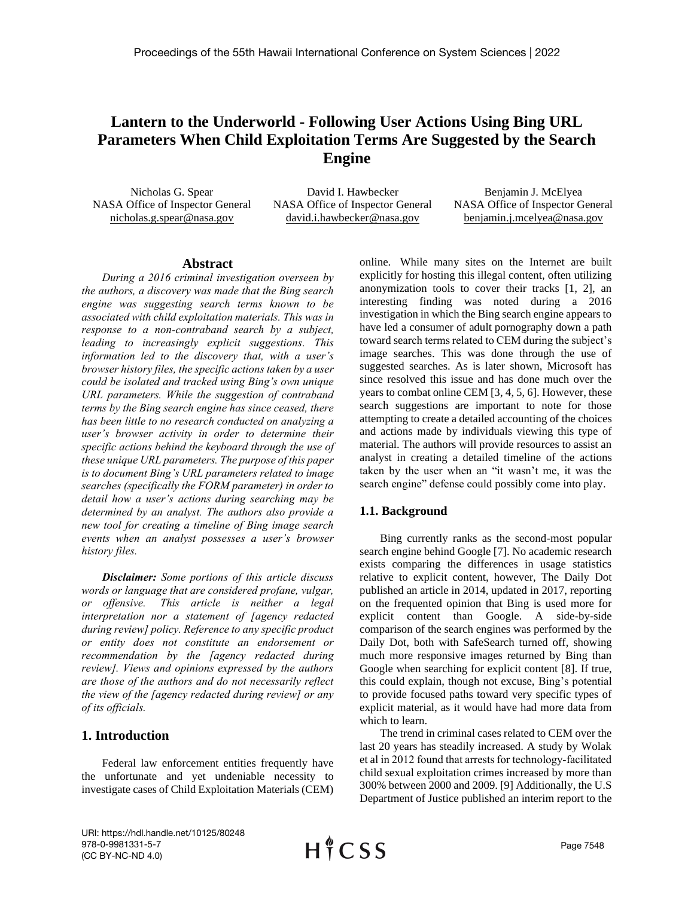# **Lantern to the Underworld - Following User Actions Using Bing URL Parameters When Child Exploitation Terms Are Suggested by the Search Engine**

Nicholas G. Spear NASA Office of Inspector General nicholas.g.spear@nasa.gov

David I. Hawbecker NASA Office of Inspector General david.i.hawbecker@nasa.gov

Benjamin J. McElyea NASA Office of Inspector General benjamin.j.mcelyea@nasa.gov

#### **Abstract**

*During a 2016 criminal investigation overseen by the authors, a discovery was made that the Bing search engine was suggesting search terms known to be associated with child exploitation materials. This was in response to a non-contraband search by a subject, leading to increasingly explicit suggestions. This information led to the discovery that, with a user's browser history files, the specific actions taken by a user could be isolated and tracked using Bing's own unique URL parameters. While the suggestion of contraband terms by the Bing search engine has since ceased, there has been little to no research conducted on analyzing a user's browser activity in order to determine their specific actions behind the keyboard through the use of these unique URL parameters. The purpose of this paper is to document Bing's URL parameters related to image searches (specifically the FORM parameter) in order to detail how a user's actions during searching may be determined by an analyst. The authors also provide a new tool for creating a timeline of Bing image search events when an analyst possesses a user's browser history files.*

*Disclaimer: Some portions of this article discuss words or language that are considered profane, vulgar, or offensive. This article is neither a legal interpretation nor a statement of [agency redacted during review] policy. Reference to any specific product or entity does not constitute an endorsement or recommendation by the [agency redacted during review]. Views and opinions expressed by the authors are those of the authors and do not necessarily reflect the view of the [agency redacted during review] or any of its officials.*

# **1. Introduction**

Federal law enforcement entities frequently have the unfortunate and yet undeniable necessity to investigate cases of Child Exploitation Materials (CEM)

online. While many sites on the Internet are built explicitly for hosting this illegal content, often utilizing anonymization tools to cover their tracks [1, 2], an interesting finding was noted during a 2016 investigation in which the Bing search engine appears to have led a consumer of adult pornography down a path toward search terms related to CEM during the subject's image searches. This was done through the use of suggested searches. As is later shown, Microsoft has since resolved this issue and has done much over the years to combat online CEM [3, 4, 5, 6]. However, these search suggestions are important to note for those attempting to create a detailed accounting of the choices and actions made by individuals viewing this type of material. The authors will provide resources to assist an analyst in creating a detailed timeline of the actions taken by the user when an "it wasn't me, it was the search engine" defense could possibly come into play.

# **1.1. Background**

Bing currently ranks as the second-most popular search engine behind Google [7]. No academic research exists comparing the differences in usage statistics relative to explicit content, however, The Daily Dot published an article in 2014, updated in 2017, reporting on the frequented opinion that Bing is used more for explicit content than Google. A side-by-side comparison of the search engines was performed by the Daily Dot, both with SafeSearch turned off, showing much more responsive images returned by Bing than Google when searching for explicit content [8]. If true, this could explain, though not excuse, Bing's potential to provide focused paths toward very specific types of explicit material, as it would have had more data from which to learn.

The trend in criminal cases related to CEM over the last 20 years has steadily increased. A study by Wolak et al in 2012 found that arrests for technology‐facilitated child sexual exploitation crimes increased by more than 300% between 2000 and 2009. [9] Additionally, the U.S Department of Justice published an interim report to the

URI: https://hdl.handle.net/10125/80248 978-0-9981331-5-7 (CC BY-NC-ND 4.0)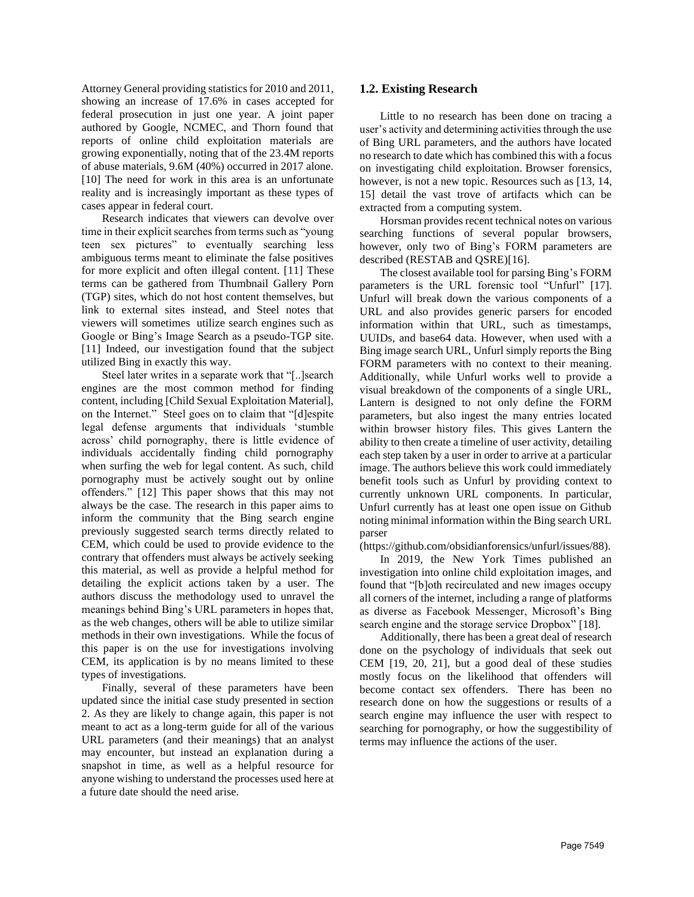Attorney General providing statistics for 2010 and 2011, showing an increase of 17.6% in cases accepted for federal prosecution in just one year. A joint paper authored by Google, NCMEC, and Thorn found that reports of online child exploitation materials are growing exponentially, noting that of the 23.4M reports of abuse materials, 9.6M (40%) occurred in 2017 alone. [10] The need for work in this area is an unfortunate reality and is increasingly important as these types of cases appear in federal court.

Research indicates that viewers can devolve over time in their explicit searches from terms such as "young teen sex pictures" to eventually searching less ambiguous terms meant to eliminate the false positives for more explicit and often illegal content. [11] These terms can be gathered from Thumbnail Gallery Porn (TGP) sites, which do not host content themselves, but link to external sites instead, and Steel notes that viewers will sometimes utilize search engines such as Google or Bing's Image Search as a pseudo-TGP site. [11] Indeed, our investigation found that the subject utilized Bing in exactly this way.

Steel later writes in a separate work that "[..]search engines are the most common method for finding content, including [Child Sexual Exploitation Material], on the Internet." Steel goes on to claim that "[d]espite legal defense arguments that individuals 'stumble across' child pornography, there is little evidence of individuals accidentally finding child pornography when surfing the web for legal content. As such, child pornography must be actively sought out by online offenders." [12] This paper shows that this may not always be the case. The research in this paper aims to inform the community that the Bing search engine previously suggested search terms directly related to CEM, which could be used to provide evidence to the contrary that offenders must always be actively seeking this material, as well as provide a helpful method for detailing the explicit actions taken by a user. The authors discuss the methodology used to unravel the meanings behind Bing's URL parameters in hopes that, as the web changes, others will be able to utilize similar methods in their own investigations. While the focus of this paper is on the use for investigations involving CEM, its application is by no means limited to these types of investigations.

Finally, several of these parameters have been updated since the initial case study presented in section 2. As they are likely to change again, this paper is not meant to act as a long-term guide for all of the various URL parameters (and their meanings) that an analyst may encounter, but instead an explanation during a snapshot in time, as well as a helpful resource for anyone wishing to understand the processes used here at a future date should the need arise.

#### **1.2. Existing Research**

Little to no research has been done on tracing a user's activity and determining activities through the use of Bing URL parameters, and the authors have located no research to date which has combined this with a focus on investigating child exploitation. Browser forensics, however, is not a new topic. Resources such as [13, 14, 15] detail the vast trove of artifacts which can be extracted from a computing system.

Horsman provides recent technical notes on various searching functions of several popular browsers, however, only two of Bing's FORM parameters are described (RESTAB and QSRE)[16].

The closest available tool for parsing Bing's FORM parameters is the URL forensic tool "Unfurl" [17]. Unfurl will break down the various components of a URL and also provides generic parsers for encoded information within that URL, such as timestamps, UUIDs, and base64 data. However, when used with a Bing image search URL, Unfurl simply reports the Bing FORM parameters with no context to their meaning. Additionally, while Unfurl works well to provide a visual breakdown of the components of a single URL, Lantern is designed to not only define the FORM parameters, but also ingest the many entries located within browser history files. This gives Lantern the ability to then create a timeline of user activity, detailing each step taken by a user in order to arrive at a particular image. The authors believe this work could immediately benefit tools such as Unfurl by providing context to currently unknown URL components. In particular, Unfurl currently has at least one open issue on Github noting minimal information within the Bing search URL parser

(https://github.com/obsidianforensics/unfurl/issues/88).

In 2019, the New York Times published an investigation into online child exploitation images, and found that "[b]oth recirculated and new images occupy all corners of the internet, including a range of platforms as diverse as Facebook Messenger, Microsoft's Bing search engine and the storage service Dropbox" [18].

Additionally, there has been a great deal of research done on the psychology of individuals that seek out CEM [19, 20, 21], but a good deal of these studies mostly focus on the likelihood that offenders will become contact sex offenders. There has been no research done on how the suggestions or results of a search engine may influence the user with respect to searching for pornography, or how the suggestibility of terms may influence the actions of the user.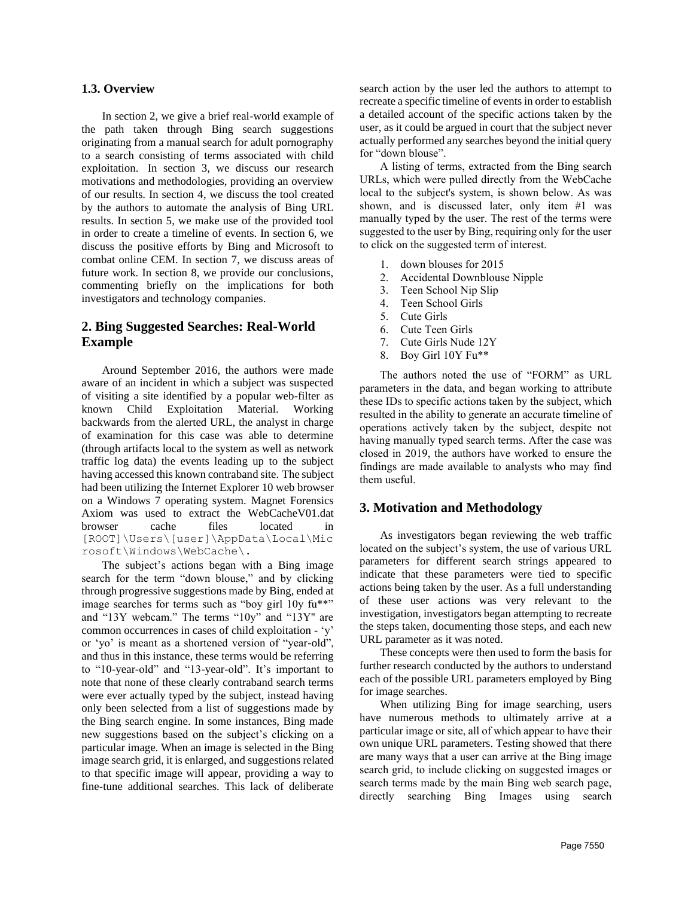#### **1.3. Overview**

In section 2, we give a brief real-world example of the path taken through Bing search suggestions originating from a manual search for adult pornography to a search consisting of terms associated with child exploitation. In section 3, we discuss our research motivations and methodologies, providing an overview of our results. In section 4, we discuss the tool created by the authors to automate the analysis of Bing URL results. In section 5, we make use of the provided tool in order to create a timeline of events. In section 6, we discuss the positive efforts by Bing and Microsoft to combat online CEM. In section 7, we discuss areas of future work. In section 8, we provide our conclusions, commenting briefly on the implications for both investigators and technology companies.

# **2. Bing Suggested Searches: Real-World Example**

Around September 2016, the authors were made aware of an incident in which a subject was suspected of visiting a site identified by a popular web-filter as known Child Exploitation Material. Working backwards from the alerted URL, the analyst in charge of examination for this case was able to determine (through artifacts local to the system as well as network traffic log data) the events leading up to the subject having accessed this known contraband site. The subject had been utilizing the Internet Explorer 10 web browser on a Windows 7 operating system. Magnet Forensics Axiom was used to extract the WebCacheV01.dat browser cache files located in [ROOT]\Users\[user]\AppData\Local\Mic rosoft\Windows\WebCache\.

The subject's actions began with a Bing image search for the term "down blouse," and by clicking through progressive suggestions made by Bing, ended at image searches for terms such as "boy girl 10y fu\*\*" and "13Y webcam." The terms "10y" and "13Y'' are common occurrences in cases of child exploitation - 'y' or 'yo' is meant as a shortened version of "year-old", and thus in this instance, these terms would be referring to "10-year-old" and "13-year-old". It's important to note that none of these clearly contraband search terms were ever actually typed by the subject, instead having only been selected from a list of suggestions made by the Bing search engine. In some instances, Bing made new suggestions based on the subject's clicking on a particular image. When an image is selected in the Bing image search grid, it is enlarged, and suggestions related to that specific image will appear, providing a way to fine-tune additional searches. This lack of deliberate

search action by the user led the authors to attempt to recreate a specific timeline of events in order to establish a detailed account of the specific actions taken by the user, as it could be argued in court that the subject never actually performed any searches beyond the initial query for "down blouse".

A listing of terms, extracted from the Bing search URLs, which were pulled directly from the WebCache local to the subject's system, is shown below. As was shown, and is discussed later, only item #1 was manually typed by the user. The rest of the terms were suggested to the user by Bing, requiring only for the user to click on the suggested term of interest.

- 1. down blouses for 2015
- 2. Accidental Downblouse Nipple
- 3. Teen School Nip Slip
- 4. Teen School Girls
- 5. Cute Girls
- 6. Cute Teen Girls
- 7. Cute Girls Nude 12Y
- 8. Boy Girl 10Y Fu\*\*

The authors noted the use of "FORM" as URL parameters in the data, and began working to attribute these IDs to specific actions taken by the subject, which resulted in the ability to generate an accurate timeline of operations actively taken by the subject, despite not having manually typed search terms. After the case was closed in 2019, the authors have worked to ensure the findings are made available to analysts who may find them useful.

#### **3. Motivation and Methodology**

As investigators began reviewing the web traffic located on the subject's system, the use of various URL parameters for different search strings appeared to indicate that these parameters were tied to specific actions being taken by the user. As a full understanding of these user actions was very relevant to the investigation, investigators began attempting to recreate the steps taken, documenting those steps, and each new URL parameter as it was noted.

These concepts were then used to form the basis for further research conducted by the authors to understand each of the possible URL parameters employed by Bing for image searches.

When utilizing Bing for image searching, users have numerous methods to ultimately arrive at a particular image or site, all of which appear to have their own unique URL parameters. Testing showed that there are many ways that a user can arrive at the Bing image search grid, to include clicking on suggested images or search terms made by the main Bing web search page, directly searching Bing Images using search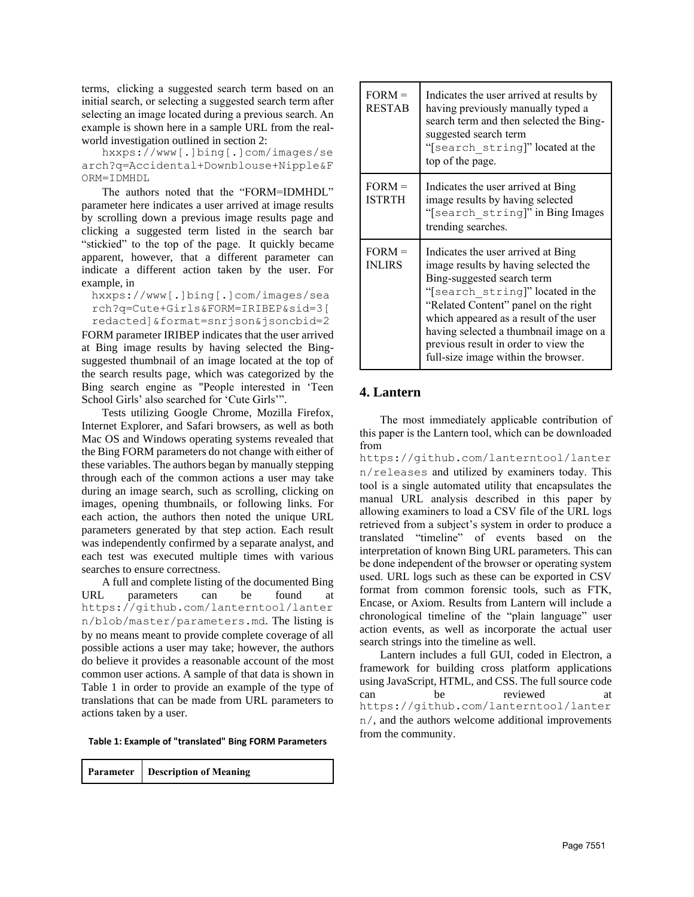terms, clicking a suggested search term based on an initial search, or selecting a suggested search term after selecting an image located during a previous search. An example is shown here in a sample URL from the realworld investigation outlined in section 2:

hxxps://www[.]bing[.]com/images/se arch?q=Accidental+Downblouse+Nipple&F ORM=IDMHDL

The authors noted that the "FORM=IDMHDL" parameter here indicates a user arrived at image results by scrolling down a previous image results page and clicking a suggested term listed in the search bar "stickied" to the top of the page. It quickly became apparent, however, that a different parameter can indicate a different action taken by the user. For example, in

hxxps://www[.]bing[.]com/images/sea rch?q=Cute+Girls&FORM=IRIBEP&sid=3[ redacted]&format=snrjson&jsoncbid=2

FORM parameter IRIBEP indicates that the user arrived at Bing image results by having selected the Bingsuggested thumbnail of an image located at the top of the search results page, which was categorized by the Bing search engine as "People interested in 'Teen School Girls' also searched for 'Cute Girls'".

Tests utilizing Google Chrome, Mozilla Firefox, Internet Explorer, and Safari browsers, as well as both Mac OS and Windows operating systems revealed that the Bing FORM parameters do not change with either of these variables. The authors began by manually stepping through each of the common actions a user may take during an image search, such as scrolling, clicking on images, opening thumbnails, or following links. For each action, the authors then noted the unique URL parameters generated by that step action. Each result was independently confirmed by a separate analyst, and each test was executed multiple times with various searches to ensure correctness.

A full and complete listing of the documented Bing URL parameters can be found at https://github.com/lanterntool/lanter n/blob/master/parameters.md. The listing is by no means meant to provide complete coverage of all possible actions a user may take; however, the authors do believe it provides a reasonable account of the most common user actions. A sample of that data is shown in Table 1 in order to provide an example of the type of translations that can be made from URL parameters to actions taken by a user.

**Table 1: Example of "translated" Bing FORM Parameters**

|  | <b>Parameter</b> Description of Meaning |
|--|-----------------------------------------|
|--|-----------------------------------------|

| $FORM =$<br><b>RESTAB</b> | Indicates the user arrived at results by<br>having previously manually typed a<br>search term and then selected the Bing-<br>suggested search term<br>"[search string]" located at the<br>top of the page.                                                                                                                                              |
|---------------------------|---------------------------------------------------------------------------------------------------------------------------------------------------------------------------------------------------------------------------------------------------------------------------------------------------------------------------------------------------------|
| $FORM =$<br><b>ISTRTH</b> | Indicates the user arrived at Bing<br>image results by having selected<br>"[search string]" in Bing Images<br>trending searches.                                                                                                                                                                                                                        |
| $FORM =$<br><b>INLIRS</b> | Indicates the user arrived at Bing<br>image results by having selected the<br>Bing-suggested search term<br>"[search string]" located in the<br>"Related Content" panel on the right<br>which appeared as a result of the user<br>having selected a thumbnail image on a<br>previous result in order to view the<br>full-size image within the browser. |

# **4. Lantern**

The most immediately applicable contribution of this paper is the Lantern tool, which can be downloaded from

https://github.com/lanterntool/lanter n/releases and utilized by examiners today. This tool is a single automated utility that encapsulates the manual URL analysis described in this paper by allowing examiners to load a CSV file of the URL logs retrieved from a subject's system in order to produce a translated "timeline" of events based on the interpretation of known Bing URL parameters. This can be done independent of the browser or operating system used. URL logs such as these can be exported in CSV format from common forensic tools, such as FTK, Encase, or Axiom. Results from Lantern will include a chronological timeline of the "plain language" user action events, as well as incorporate the actual user search strings into the timeline as well.

Lantern includes a full GUI, coded in Electron, a framework for building cross platform applications using JavaScript, HTML, and CSS. The full source code can be reviewed at https://github.com/lanterntool/lanter n/, and the authors welcome additional improvements from the community.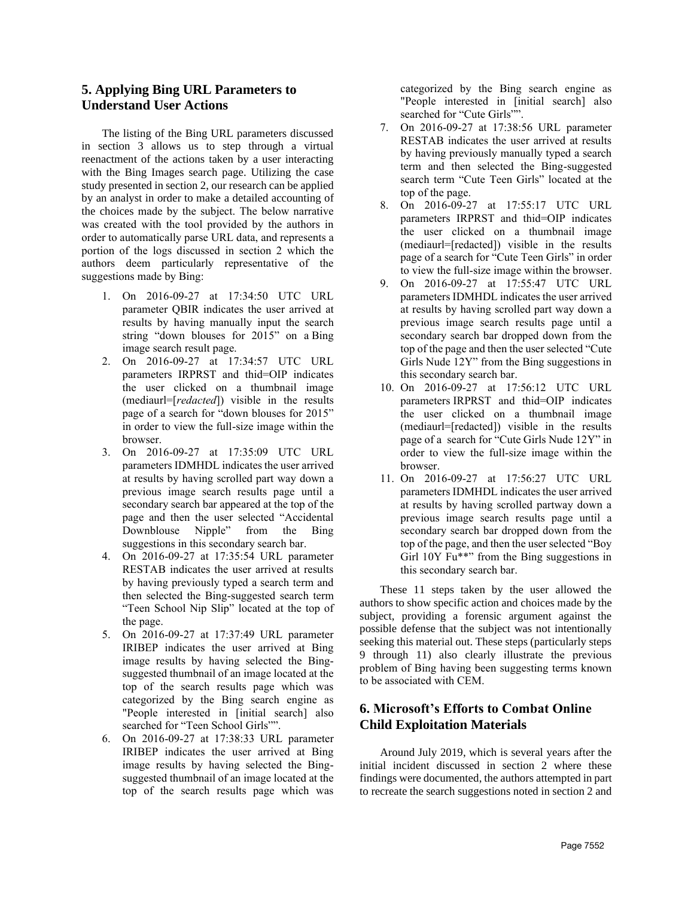# **5. Applying Bing URL Parameters to Understand User Actions**

The listing of the Bing URL parameters discussed in section 3 allows us to step through a virtual reenactment of the actions taken by a user interacting with the Bing Images search page. Utilizing the case study presented in section 2, our research can be applied by an analyst in order to make a detailed accounting of the choices made by the subject. The below narrative was created with the tool provided by the authors in order to automatically parse URL data, and represents a portion of the logs discussed in section 2 which the authors deem particularly representative of the suggestions made by Bing:

- 1. On 2016-09-27 at 17:34:50 UTC URL parameter QBIR indicates the user arrived at results by having manually input the search string "down blouses for 2015" on a Bing image search result page.
- 2. On 2016-09-27 at 17:34:57 UTC URL parameters IRPRST and thid=OIP indicates the user clicked on a thumbnail image (mediaurl=[*redacted*]) visible in the results page of a search for "down blouses for 2015" in order to view the full-size image within the browser.
- 3. On 2016-09-27 at 17:35:09 UTC URL parameters IDMHDL indicates the user arrived at results by having scrolled part way down a previous image search results page until a secondary search bar appeared at the top of the page and then the user selected "Accidental Downblouse Nipple" from the Bing suggestions in this secondary search bar.
- 4. On 2016-09-27 at 17:35:54 URL parameter RESTAB indicates the user arrived at results by having previously typed a search term and then selected the Bing-suggested search term "Teen School Nip Slip" located at the top of the page.
- 5. On 2016-09-27 at 17:37:49 URL parameter IRIBEP indicates the user arrived at Bing image results by having selected the Bingsuggested thumbnail of an image located at the top of the search results page which was categorized by the Bing search engine as "People interested in [initial search] also searched for "Teen School Girls"".
- 6. On 2016-09-27 at 17:38:33 URL parameter IRIBEP indicates the user arrived at Bing image results by having selected the Bingsuggested thumbnail of an image located at the top of the search results page which was

categorized by the Bing search engine as "People interested in [initial search] also searched for "Cute Girls"".

- 7. On 2016-09-27 at 17:38:56 URL parameter RESTAB indicates the user arrived at results by having previously manually typed a search term and then selected the Bing-suggested search term "Cute Teen Girls" located at the top of the page.
- 8. On 2016-09-27 at 17:55:17 UTC URL parameters IRPRST and thid=OIP indicates the user clicked on a thumbnail image (mediaurl=[redacted]) visible in the results page of a search for "Cute Teen Girls" in order to view the full-size image within the browser.
- 9. On 2016-09-27 at 17:55:47 UTC URL parameters IDMHDL indicates the user arrived at results by having scrolled part way down a previous image search results page until a secondary search bar dropped down from the top of the page and then the user selected "Cute Girls Nude 12Y" from the Bing suggestions in this secondary search bar.
- 10. On 2016-09-27 at 17:56:12 UTC URL parameters IRPRST and thid=OIP indicates the user clicked on a thumbnail image (mediaurl=[redacted]) visible in the results page of a search for "Cute Girls Nude 12Y" in order to view the full-size image within the browser.
- 11. On 2016-09-27 at 17:56:27 UTC URL parameters IDMHDL indicates the user arrived at results by having scrolled partway down a previous image search results page until a secondary search bar dropped down from the top of the page, and then the user selected "Boy Girl 10Y Fu\*\*" from the Bing suggestions in this secondary search bar.

These 11 steps taken by the user allowed the authors to show specific action and choices made by the subject, providing a forensic argument against the possible defense that the subject was not intentionally seeking this material out. These steps (particularly steps 9 through 11) also clearly illustrate the previous problem of Bing having been suggesting terms known to be associated with CEM.

# **6. Microsoft's Efforts to Combat Online Child Exploitation Materials**

Around July 2019, which is several years after the initial incident discussed in section 2 where these findings were documented, the authors attempted in part to recreate the search suggestions noted in section 2 and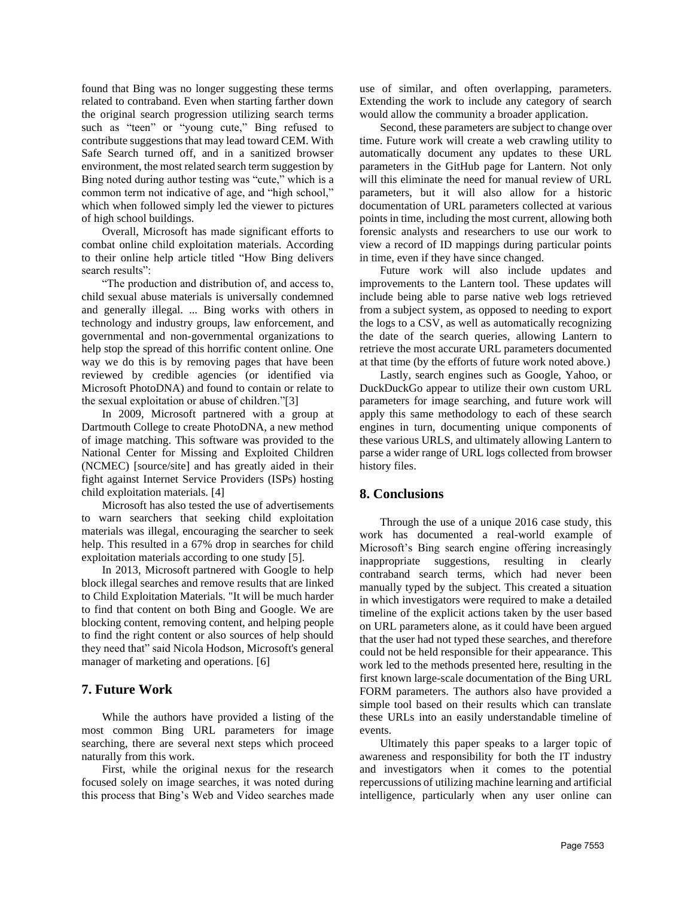found that Bing was no longer suggesting these terms related to contraband. Even when starting farther down the original search progression utilizing search terms such as "teen" or "young cute," Bing refused to contribute suggestions that may lead toward CEM. With Safe Search turned off, and in a sanitized browser environment, the most related search term suggestion by Bing noted during author testing was "cute," which is a common term not indicative of age, and "high school," which when followed simply led the viewer to pictures of high school buildings.

Overall, Microsoft has made significant efforts to combat online child exploitation materials. According to their online help article titled "How Bing delivers search results":

"The production and distribution of, and access to, child sexual abuse materials is universally condemned and generally illegal. ... Bing works with others in technology and industry groups, law enforcement, and governmental and non-governmental organizations to help stop the spread of this horrific content online. One way we do this is by removing pages that have been reviewed by credible agencies (or identified via [Microsoft PhotoDNA\)](http://go.microsoft.com/fwlink?LinkId=626929) and found to contain or relate to the sexual exploitation or abuse of children."[3]

In 2009, Microsoft partnered with a group at Dartmouth College to create PhotoDNA, a new method of image matching. This software was provided to the National Center for Missing and Exploited Children (NCMEC) [source/site] and has greatly aided in their fight against Internet Service Providers (ISPs) hosting child exploitation materials. [4]

Microsoft has also tested the use of advertisements to warn searchers that seeking child exploitation materials was illegal, encouraging the searcher to seek help. This resulted in a 67% drop in searches for child exploitation materials according to one study [5].

In 2013, Microsoft partnered with Google to help block illegal searches and remove results that are linked to Child Exploitation Materials. "It will be much harder to find that content on both Bing and Google. We are blocking content, removing content, and helping people to find the right content or also sources of help should they need that" said Nicola Hodson, Microsoft's general manager of marketing and operations. [6]

# **7. Future Work**

While the authors have provided a listing of the most common Bing URL parameters for image searching, there are several next steps which proceed naturally from this work.

First, while the original nexus for the research focused solely on image searches, it was noted during this process that Bing's Web and Video searches made

use of similar, and often overlapping, parameters. Extending the work to include any category of search would allow the community a broader application.

Second, these parameters are subject to change over time. Future work will create a web crawling utility to automatically document any updates to these URL parameters in the GitHub page for Lantern. Not only will this eliminate the need for manual review of URL parameters, but it will also allow for a historic documentation of URL parameters collected at various points in time, including the most current, allowing both forensic analysts and researchers to use our work to view a record of ID mappings during particular points in time, even if they have since changed.

Future work will also include updates and improvements to the Lantern tool. These updates will include being able to parse native web logs retrieved from a subject system, as opposed to needing to export the logs to a CSV, as well as automatically recognizing the date of the search queries, allowing Lantern to retrieve the most accurate URL parameters documented at that time (by the efforts of future work noted above.)

Lastly, search engines such as Google, Yahoo, or DuckDuckGo appear to utilize their own custom URL parameters for image searching, and future work will apply this same methodology to each of these search engines in turn, documenting unique components of these various URLS, and ultimately allowing Lantern to parse a wider range of URL logs collected from browser history files.

# **8. Conclusions**

Through the use of a unique 2016 case study, this work has documented a real-world example of Microsoft's Bing search engine offering increasingly inappropriate suggestions, resulting in clearly contraband search terms, which had never been manually typed by the subject. This created a situation in which investigators were required to make a detailed timeline of the explicit actions taken by the user based on URL parameters alone, as it could have been argued that the user had not typed these searches, and therefore could not be held responsible for their appearance. This work led to the methods presented here, resulting in the first known large-scale documentation of the Bing URL FORM parameters. The authors also have provided a simple tool based on their results which can translate these URLs into an easily understandable timeline of events.

Ultimately this paper speaks to a larger topic of awareness and responsibility for both the IT industry and investigators when it comes to the potential repercussions of utilizing machine learning and artificial intelligence, particularly when any user online can